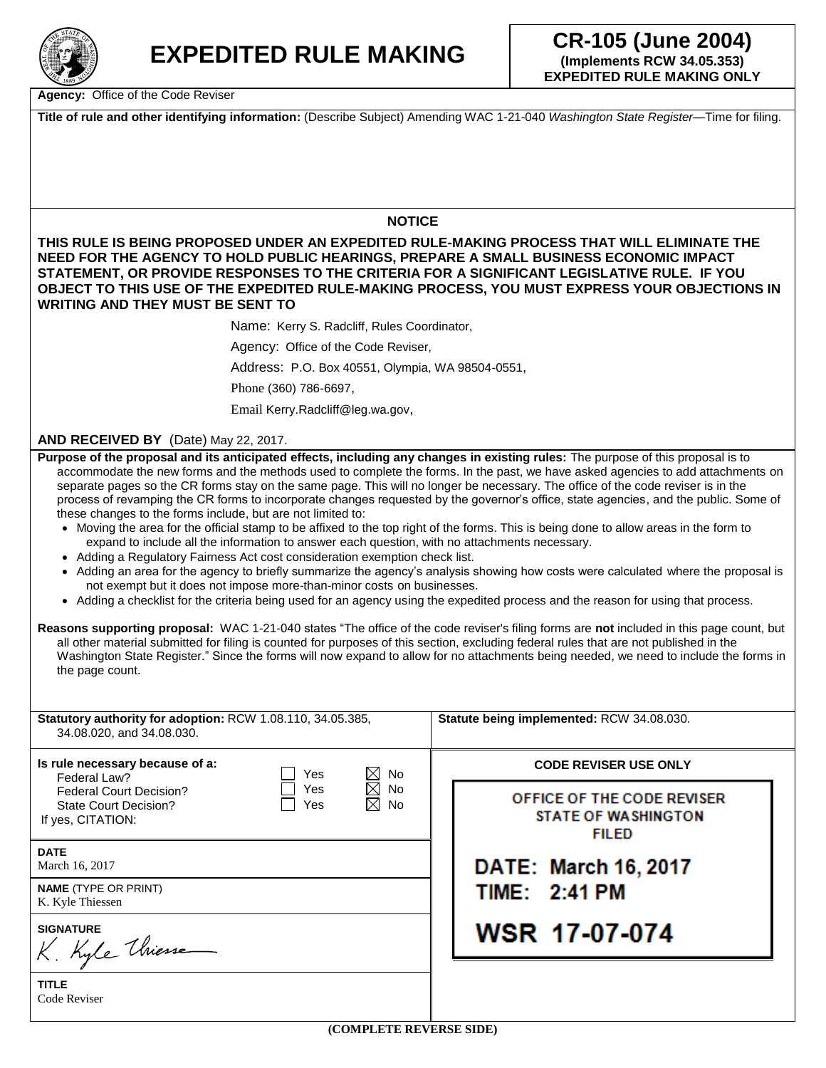

**Agency:** Office of the Code Reviser

**Title of rule and other identifying information:** (Describe Subject) Amending WAC 1-21-040 *Washington State Register*—Time for filing.

## **NOTICE**

**THIS RULE IS BEING PROPOSED UNDER AN EXPEDITED RULE-MAKING PROCESS THAT WILL ELIMINATE THE NEED FOR THE AGENCY TO HOLD PUBLIC HEARINGS, PREPARE A SMALL BUSINESS ECONOMIC IMPACT STATEMENT, OR PROVIDE RESPONSES TO THE CRITERIA FOR A SIGNIFICANT LEGISLATIVE RULE. IF YOU OBJECT TO THIS USE OF THE EXPEDITED RULE-MAKING PROCESS, YOU MUST EXPRESS YOUR OBJECTIONS IN WRITING AND THEY MUST BE SENT TO** 

Name: Kerry S. Radcliff, Rules Coordinator,

Agency: Office of the Code Reviser,

Address: P.O. Box 40551, Olympia, WA 98504-0551,

Phone (360) 786-6697,

Email Kerry.Radcliff@leg.wa.gov,

## **AND RECEIVED BY** (Date) May 22, 2017.

**Purpose of the proposal and its anticipated effects, including any changes in existing rules:** The purpose of this proposal is to accommodate the new forms and the methods used to complete the forms. In the past, we have asked agencies to add attachments on separate pages so the CR forms stay on the same page. This will no longer be necessary. The office of the code reviser is in the process of revamping the CR forms to incorporate changes requested by the governor's office, state agencies, and the public. Some of these changes to the forms include, but are not limited to:

- Moving the area for the official stamp to be affixed to the top right of the forms. This is being done to allow areas in the form to expand to include all the information to answer each question, with no attachments necessary.
- Adding a Regulatory Fairness Act cost consideration exemption check list.
- Adding an area for the agency to briefly summarize the agency's analysis showing how costs were calculated where the proposal is not exempt but it does not impose more-than-minor costs on businesses.
- Adding a checklist for the criteria being used for an agency using the expedited process and the reason for using that process.

**Reasons supporting proposal:** WAC 1-21-040 states "The office of the code reviser's filing forms are **not** included in this page count, but all other material submitted for filing is counted for purposes of this section, excluding federal rules that are not published in the Washington State Register." Since the forms will now expand to allow for no attachments being needed, we need to include the forms in the page count.

| Statutory authority for adoption: RCW 1.08.110, 34.05.385,<br>34.08.020, and 34.08.030. |            |                                                      | Statute being implemented: RCW 34.08.030.                                |  |
|-----------------------------------------------------------------------------------------|------------|------------------------------------------------------|--------------------------------------------------------------------------|--|
| Is rule necessary because of a:<br>Federal Law?                                         | Yes        | $\boxtimes$<br>No                                    | <b>CODE REVISER USE ONLY</b>                                             |  |
| <b>Federal Court Decision?</b><br>State Court Decision?<br>If yes, CITATION:            | Yes<br>Yes | $\boxtimes$<br><b>No</b><br>$\boxtimes$<br><b>No</b> | OFFICE OF THE CODE REVISER<br><b>STATE OF WASHINGTON</b><br><b>FILED</b> |  |
| <b>DATE</b><br>March 16, 2017                                                           |            |                                                      | DATE: March 16, 2017                                                     |  |
| <b>NAME</b> (TYPE OR PRINT)<br>K. Kyle Thiessen                                         |            | TIME: 2:41 PM                                        |                                                                          |  |
| <b>SIGNATURE</b><br>K. Kyle Uniesse                                                     |            |                                                      | <b>WSR 17-07-074</b>                                                     |  |
| <b>TITLE</b><br>Code Reviser                                                            |            |                                                      |                                                                          |  |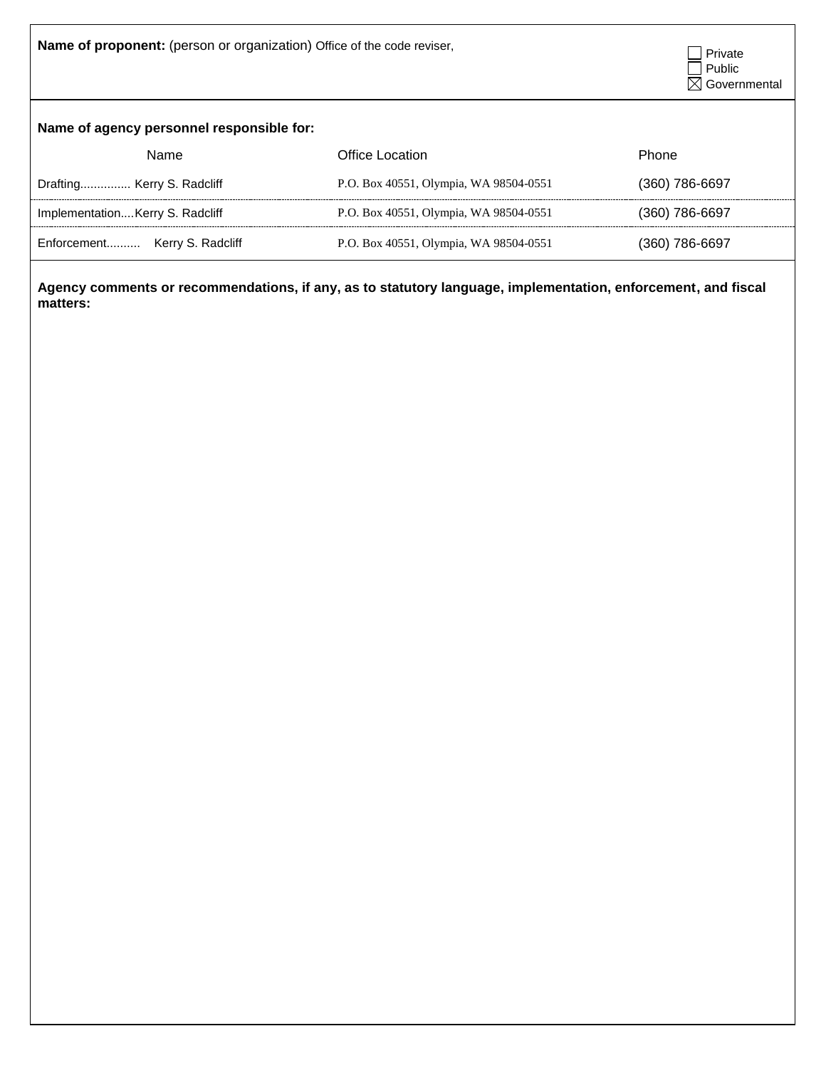**Name of proponent:** (person or organization) Office of the code reviser, <br>
Private



## **Name of agency personnel responsible for:**

| Name                            | Office Location                        | <b>Phone</b>   |
|---------------------------------|----------------------------------------|----------------|
| Drafting Kerry S. Radcliff      | P.O. Box 40551, Olympia, WA 98504-0551 | (360) 786-6697 |
| ImplementationKerry S. Radcliff | P.O. Box 40551, Olympia, WA 98504-0551 | (360) 786-6697 |
| Enforcement Kerry S. Radcliff   | P.O. Box 40551, Olympia, WA 98504-0551 | (360) 786-6697 |

**Agency comments or recommendations, if any, as to statutory language, implementation, enforcement, and fiscal matters:**